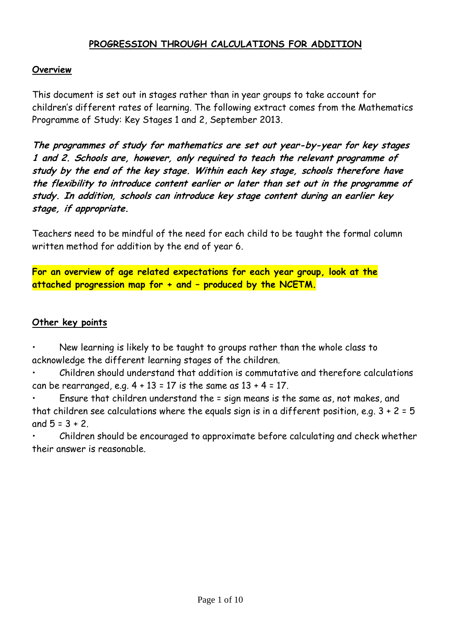### **PROGRESSION THROUGH CALCULATIONS FOR ADDITION**

#### **Overview**

This document is set out in stages rather than in year groups to take account for children's different rates of learning. The following extract comes from the Mathematics Programme of Study: Key Stages 1 and 2, September 2013.

**The programmes of study for mathematics are set out year-by-year for key stages 1 and 2. Schools are, however, only required to teach the relevant programme of study by the end of the key stage. Within each key stage, schools therefore have the flexibility to introduce content earlier or later than set out in the programme of study. In addition, schools can introduce key stage content during an earlier key stage, if appropriate.**

Teachers need to be mindful of the need for each child to be taught the formal column written method for addition by the end of year 6.

**For an overview of age related expectations for each year group, look at the attached progression map for + and – produced by the NCETM.**

#### **Other key points**

• New learning is likely to be taught to groups rather than the whole class to acknowledge the different learning stages of the children.

• Children should understand that addition is commutative and therefore calculations can be rearranged, e.g.  $4 + 13 = 17$  is the same as  $13 + 4 = 17$ .

• Ensure that children understand the = sign means is the same as, not makes, and that children see calculations where the equals sign is in a different position, e.g.  $3 + 2 = 5$ and  $5 = 3 + 2$ .

• Children should be encouraged to approximate before calculating and check whether their answer is reasonable.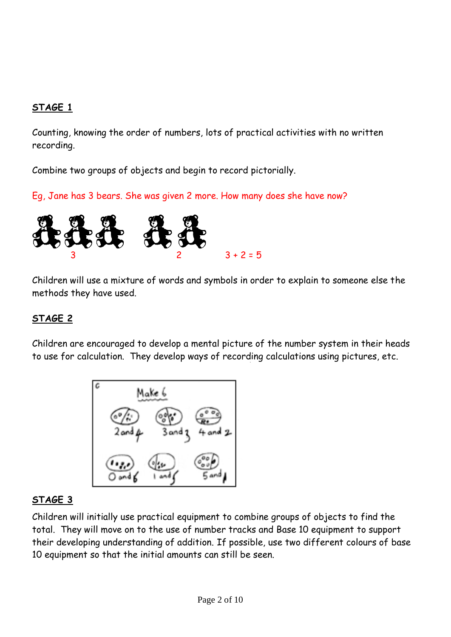Counting, knowing the order of numbers, lots of practical activities with no written recording.

Combine two groups of objects and begin to record pictorially.

Eg, Jane has 3 bears. She was given 2 more. How many does she have now?



Children will use a mixture of words and symbols in order to explain to someone else the methods they have used.

# **STAGE 2**

Children are encouraged to develop a mental picture of the number system in their heads to use for calculation. They develop ways of recording calculations using pictures, etc.



## **STAGE 3**

Children will initially use practical equipment to combine groups of objects to find the total. They will move on to the use of number tracks and Base 10 equipment to support their developing understanding of addition. If possible, use two different colours of base 10 equipment so that the initial amounts can still be seen.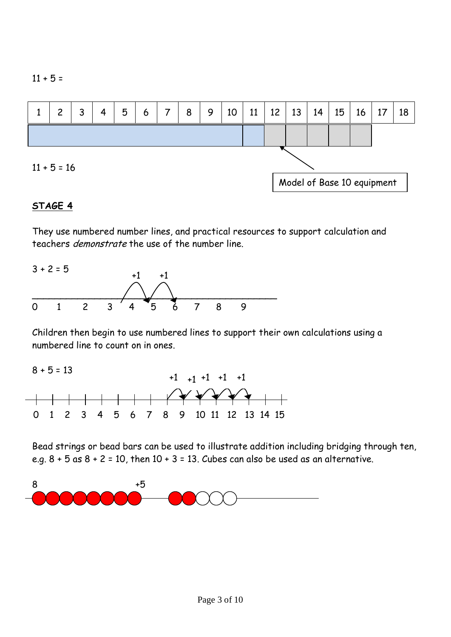

They use numbered number lines, and practical resources to support calculation and teachers demonstrate the use of the number line.



Children then begin to use numbered lines to support their own calculations using a numbered line to count on in ones.



Bead strings or bead bars can be used to illustrate addition including bridging through ten, e.g.  $8 + 5$  as  $8 + 2 = 10$ , then  $10 + 3 = 13$ . Cubes can also be used as an alternative.

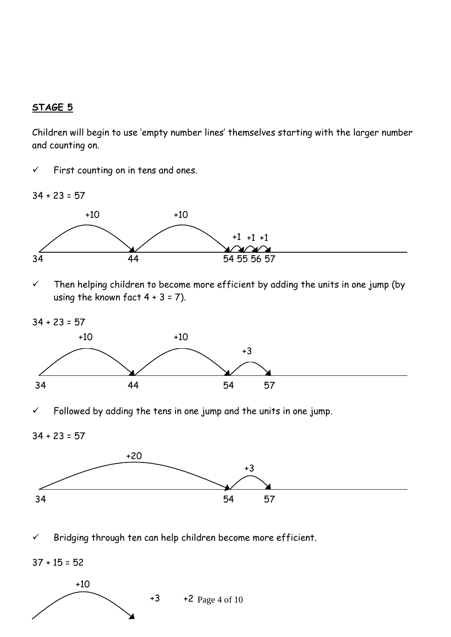Children will begin to use 'empty number lines' themselves starting with the larger number and counting on.

 $\checkmark$  First counting on in tens and ones.

 $34 + 23 = 57$ 



 $\checkmark$  Then helping children to become more efficient by adding the units in one jump (by using the known fact  $4 + 3 = 7$ ).

 $34 + 23 = 57$ 



Followed by adding the tens in one jump and the units in one jump.

34 + 23 = 57



 $\checkmark$  Bridging through ten can help children become more efficient.

 $37 + 15 = 52$ 

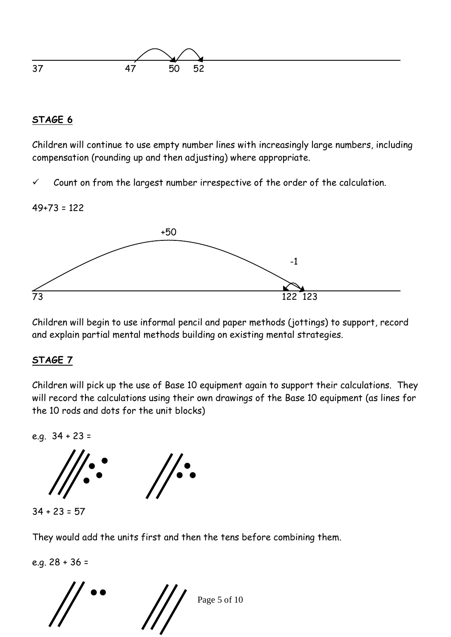

Children will continue to use empty number lines with increasingly large numbers, including compensation (rounding up and then adjusting) where appropriate.

 $\checkmark$  Count on from the largest number irrespective of the order of the calculation.

### $49+73 = 122$



Children will begin to use informal pencil and paper methods (jottings) to support, record and explain partial mental methods building on existing mental strategies.

## **STAGE 7**

Children will pick up the use of Base 10 equipment again to support their calculations. They will record the calculations using their own drawings of the Base 10 equipment (as lines for the 10 rods and dots for the unit blocks)

e.g.  $34 + 23 =$ 



They would add the units first and then the tens before combining them.

 Page 5 of 10 e.g. 28 + 36 =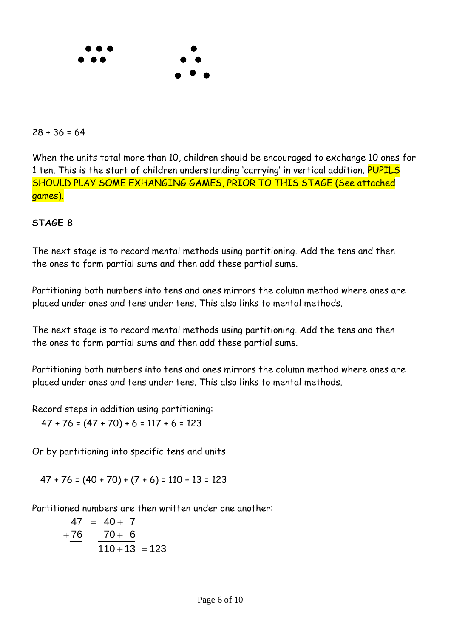

#### $28 + 36 = 64$

When the units total more than 10, children should be encouraged to exchange 10 ones for 1 ten. This is the start of children understanding 'carrying' in vertical addition. PUPILS SHOULD PLAY SOME EXHANGING GAMES, PRIOR TO THIS STAGE (See attached games).

### **STAGE 8**

The next stage is to record mental methods using partitioning. Add the tens and then the ones to form partial sums and then add these partial sums.

Partitioning both numbers into tens and ones mirrors the column method where ones are placed under ones and tens under tens. This also links to mental methods.

The next stage is to record mental methods using partitioning. Add the tens and then the ones to form partial sums and then add these partial sums.

Partitioning both numbers into tens and ones mirrors the column method where ones are placed under ones and tens under tens. This also links to mental methods.

Record steps in addition using partitioning:

 $47 + 76 = (47 + 70) + 6 = 117 + 6 = 123$ 

Or by partitioning into specific tens and units

 $47 + 76 = (40 + 70) + (7 + 6) = 110 + 13 = 123$ 

Partitioned numbers are then written under one another:

$$
47 = 40 + 7
$$
  
+76 
$$
70 + 6
$$
  

$$
110 + 13 = 123
$$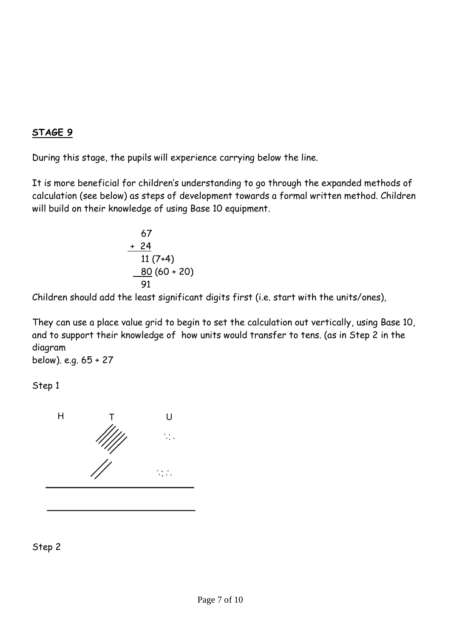During this stage, the pupils will experience carrying below the line.

It is more beneficial for children's understanding to go through the expanded methods of calculation (see below) as steps of development towards a formal written method. Children will build on their knowledge of using Base 10 equipment.

$$
67\n+ 24\n11 (7+4)\n\n80 (60 + 20)
$$

Children should add the least significant digits first (i.e. start with the units/ones),

They can use a place value grid to begin to set the calculation out vertically, using Base 10, and to support their knowledge of how units would transfer to tens. (as in Step 2 in the diagram

below). e.g. 65 + 27

Step 1



Step 2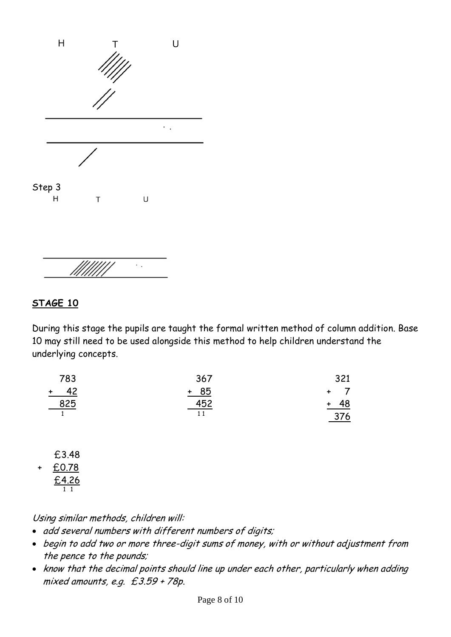

 $\cdot$  .

During this stage the pupils are taught the formal written method of column addition. Base 10 may still need to be used alongside this method to help children understand the underlying concepts.

| 783        | 367        | 321            |
|------------|------------|----------------|
| $+ 42$     | $+ 85$     | $+$ $\sqrt{ }$ |
| <u>825</u> | <u>452</u> | <u>+ 48</u>    |
|            |            | 376            |

 £3.48 + £0.78 £4.26 1 1

Using similar methods, children will:

- add several numbers with different numbers of digits;
- begin to add two or more three-digit sums of money, with or without adjustment from the pence to the pounds;
- know that the decimal points should line up under each other, particularly when adding mixed amounts, e.g. £3.59 + 78p.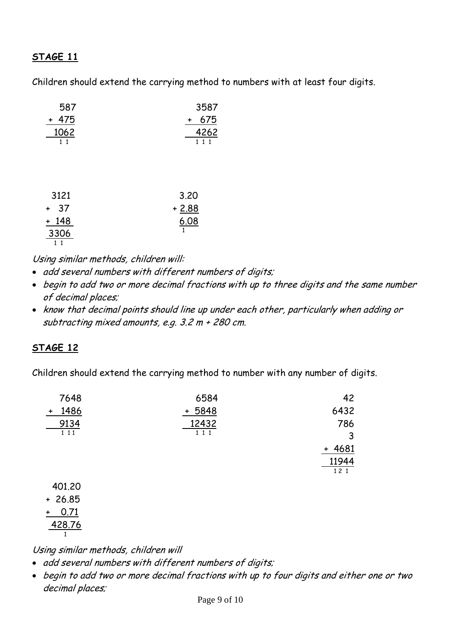Children should extend the carrying method to numbers with at least four digits.

| 587               | 3587          |
|-------------------|---------------|
| + 475             | 675<br>+      |
| 1062<br>$1\quad1$ | 4262<br>1 1 1 |
|                   |               |
|                   |               |
|                   |               |
| 3121              | 3.20          |
| 37<br>+           | $+ 2.88$      |
| + 148             | 6.08          |
| 3306              | 1             |
| 1<br>1            |               |

Using similar methods, children will:

- add several numbers with different numbers of digits;
- begin to add two or more decimal fractions with up to three digits and the same number of decimal places;
- know that decimal points should line up under each other, particularly when adding or subtracting mixed amounts, e.g. 3.2 m + 280 cm.

## **STAGE 12**

Children should extend the carrying method to number with any number of digits.

| 7648              | 6584     | 42       |
|-------------------|----------|----------|
| 1486<br>$\ddot{}$ | $+ 5848$ | 6432     |
| 9134              | 12432    | 786      |
| 111               | 1 1 1    | 3        |
|                   |          | $+ 4681$ |
|                   |          | 11944    |
|                   |          | 121      |
| 401.20            |          |          |

 + 26.85 + 0.71 428.76 1

Using similar methods, children will

- add several numbers with different numbers of digits;
- begin to add two or more decimal fractions with up to four digits and either one or two decimal places;